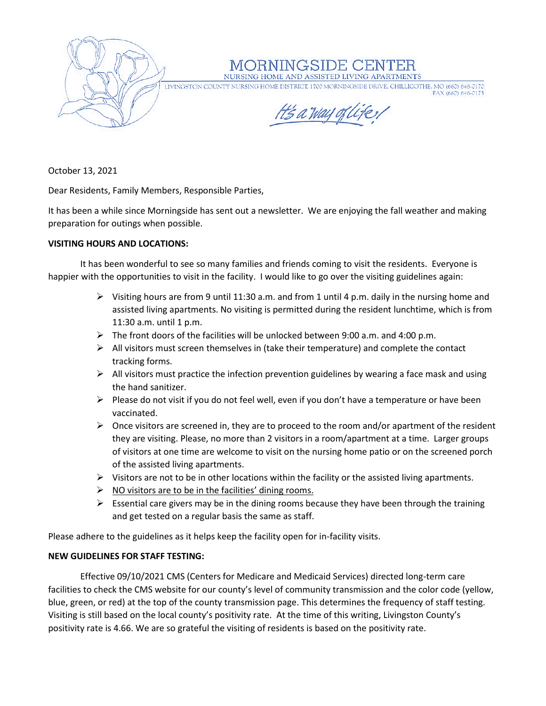

NGSIDE C

NURSING HOME AND ASSISTED LIVING APARTMENTS

LIVINGSTON COUNTY NURSING HOME DISTRICT, 1700 MORNINGSIDE DRIVE, CHILLICOTHE, MO (660) 646-0170 FAX (660) 646-0173

H's a way of life,

October 13, 2021

Dear Residents, Family Members, Responsible Parties,

It has been a while since Morningside has sent out a newsletter. We are enjoying the fall weather and making preparation for outings when possible.

## **VISITING HOURS AND LOCATIONS:**

It has been wonderful to see so many families and friends coming to visit the residents. Everyone is happier with the opportunities to visit in the facility. I would like to go over the visiting guidelines again:

- $\triangleright$  Visiting hours are from 9 until 11:30 a.m. and from 1 until 4 p.m. daily in the nursing home and assisted living apartments. No visiting is permitted during the resident lunchtime, which is from 11:30 a.m. until 1 p.m.
- $\triangleright$  The front doors of the facilities will be unlocked between 9:00 a.m. and 4:00 p.m.
- ➢ All visitors must screen themselves in (take their temperature) and complete the contact tracking forms.
- $\triangleright$  All visitors must practice the infection prevention guidelines by wearing a face mask and using the hand sanitizer.
- $\triangleright$  Please do not visit if you do not feel well, even if you don't have a temperature or have been vaccinated.
- $\triangleright$  Once visitors are screened in, they are to proceed to the room and/or apartment of the resident they are visiting. Please, no more than 2 visitors in a room/apartment at a time. Larger groups of visitors at one time are welcome to visit on the nursing home patio or on the screened porch of the assisted living apartments.
- $\triangleright$  Visitors are not to be in other locations within the facility or the assisted living apartments.
- $\triangleright$  NO visitors are to be in the facilities' dining rooms.
- $\triangleright$  Essential care givers may be in the dining rooms because they have been through the training and get tested on a regular basis the same as staff.

Please adhere to the guidelines as it helps keep the facility open for in-facility visits.

## **NEW GUIDELINES FOR STAFF TESTING:**

Effective 09/10/2021 CMS (Centers for Medicare and Medicaid Services) directed long-term care facilities to check the CMS website for our county's level of community transmission and the color code (yellow, blue, green, or red) at the top of the county transmission page. This determines the frequency of staff testing. Visiting is still based on the local county's positivity rate. At the time of this writing, Livingston County's positivity rate is 4.66. We are so grateful the visiting of residents is based on the positivity rate.